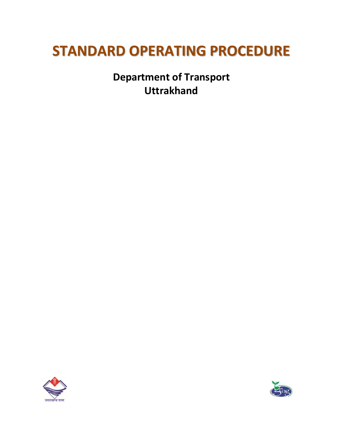# **STANDARD OPERATING PROCEDURE**

**Department of Transport Uttrakhand**



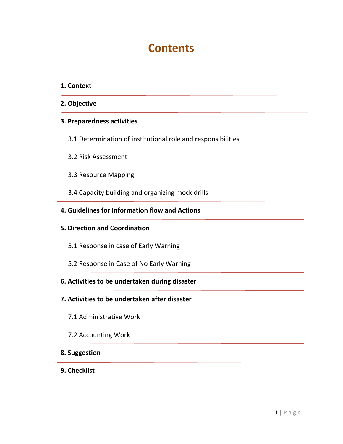# **Contents**

#### **1. Context**

**2. Objective**

#### **3. Preparedness activities**

- 3.1 Determination of institutional role and responsibilities
- 3.2 Risk Assessment
- 3.3 Resource Mapping
- 3.4 Capacity building and organizing mock drills
- **4. Guidelines for Information flow and Actions**
- **5. Direction and Coordination**
	- 5.1 Response in case of Early Warning
	- 5.2 Response in Case of No Early Warning

#### **6. Activities to be undertaken during disaster**

- **7. Activities to be undertaken after disaster**
	- 7.1 Administrative Work
	- 7.2 Accounting Work

#### **8. Suggestion**

**9. Checklist**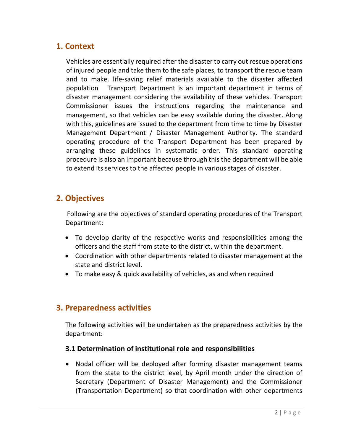# **1. Context**

Vehicles are essentially required after the disaster to carry out rescue operations of injured people and take them to the safe places, to transport the rescue team and to make. life-saving relief materials available to the disaster affected population Transport Department is an important department in terms of disaster management considering the availability of these vehicles. Transport Commissioner issues the instructions regarding the maintenance and management, so that vehicles can be easy available during the disaster. Along with this, guidelines are issued to the department from time to time by Disaster Management Department / Disaster Management Authority. The standard operating procedure of the Transport Department has been prepared by arranging these guidelines in systematic order. This standard operating procedure is also an important because through this the department will be able to extend its services to the affected people in various stages of disaster.

# **2. Objectives**

Following are the objectives of standard operating procedures of the Transport Department:

- To develop clarity of the respective works and responsibilities among the officers and the staff from state to the district, within the department.
- Coordination with other departments related to disaster management at the state and district level.
- To make easy & quick availability of vehicles, as and when required

# **3. Preparedness activities**

The following activities will be undertaken as the preparedness activities by the department:

#### **3.1 Determination of institutional role and responsibilities**

• Nodal officer will be deployed after forming disaster management teams from the state to the district level, by April month under the direction of Secretary (Department of Disaster Management) and the Commissioner (Transportation Department) so that coordination with other departments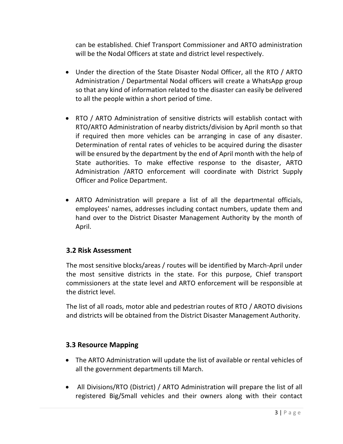can be established. Chief Transport Commissioner and ARTO administration will be the Nodal Officers at state and district level respectively.

- Under the direction of the State Disaster Nodal Officer, all the RTO / ARTO Administration / Departmental Nodal officers will create a WhatsApp group so that any kind of information related to the disaster can easily be delivered to all the people within a short period of time.
- RTO / ARTO Administration of sensitive districts will establish contact with RTO/ARTO Administration of nearby districts/division by April month so that if required then more vehicles can be arranging in case of any disaster. Determination of rental rates of vehicles to be acquired during the disaster will be ensured by the department by the end of April month with the help of State authorities. To make effective response to the disaster, ARTO Administration /ARTO enforcement will coordinate with District Supply Officer and Police Department.
- ARTO Administration will prepare a list of all the departmental officials, employees' names, addresses including contact numbers, update them and hand over to the District Disaster Management Authority by the month of April.

#### **3.2 Risk Assessment**

The most sensitive blocks/areas / routes will be identified by March-April under the most sensitive districts in the state. For this purpose, Chief transport commissioners at the state level and ARTO enforcement will be responsible at the district level.

The list of all roads, motor able and pedestrian routes of RTO / AROTO divisions and districts will be obtained from the District Disaster Management Authority.

#### **3.3 Resource Mapping**

- The ARTO Administration will update the list of available or rental vehicles of all the government departments till March.
- All Divisions/RTO (District) / ARTO Administration will prepare the list of all registered Big/Small vehicles and their owners along with their contact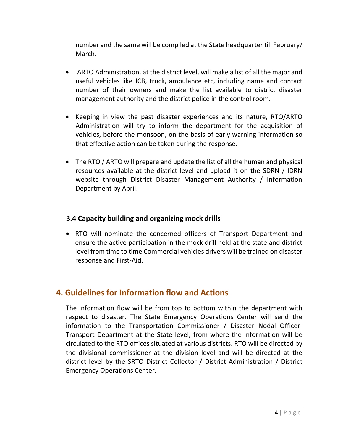number and the same will be compiled at the State headquarter till February/ March.

- ARTO Administration, at the district level, will make a list of all the major and useful vehicles like JCB, truck, ambulance etc, including name and contact number of their owners and make the list available to district disaster management authority and the district police in the control room.
- Keeping in view the past disaster experiences and its nature, RTO/ARTO Administration will try to inform the department for the acquisition of vehicles, before the monsoon, on the basis of early warning information so that effective action can be taken during the response.
- The RTO / ARTO will prepare and update the list of all the human and physical resources available at the district level and upload it on the SDRN / IDRN website through District Disaster Management Authority / Information Department by April.

#### **3.4 Capacity building and organizing mock drills**

 RTO will nominate the concerned officers of Transport Department and ensure the active participation in the mock drill held at the state and district level from time to time Commercial vehicles drivers will be trained on disaster response and First-Aid.

# **4. Guidelines for Information flow and Actions**

The information flow will be from top to bottom within the department with respect to disaster. The State Emergency Operations Center will send the information to the Transportation Commissioner / Disaster Nodal Officer-Transport Department at the State level, from where the information will be circulated to the RTO offices situated at various districts. RTO will be directed by the divisional commissioner at the division level and will be directed at the district level by the SRTO District Collector / District Administration / District Emergency Operations Center.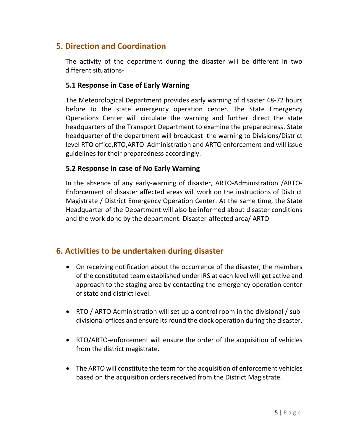# **5. Direction and Coordination**

The activity of the department during the disaster will be different in two different situations-

#### **5.1 Response in Case of Early Warning**

The Meteorological Department provides early warning of disaster 48-72 hours before to the state emergency operation center. The State Emergency Operations Center will circulate the warning and further direct the state headquarters of the Transport Department to examine the preparedness. State headquarter of the department will broadcast the warning to Divisions/District level RTO office,RTO,ARTO Administration and ARTO enforcement and will issue guidelines for their preparedness accordingly.

#### **5.2 Response in case of No Early Warning**

In the absence of any early-warning of disaster, ARTO-Administration /ARTO-Enforcement of disaster affected areas will work on the instructions of District Magistrate / District Emergency Operation Center. At the same time, the State Headquarter of the Department will also be informed about disaster conditions and the work done by the department. Disaster-affected area/ ARTO

### **6. Activities to be undertaken during disaster**

- On receiving notification about the occurrence of the disaster, the members of the constituted team established under IRS at each level will get active and approach to the staging area by contacting the emergency operation center of state and district level.
- RTO / ARTO Administration will set up a control room in the divisional / subdivisional offices and ensure its round the clock operation during the disaster.
- RTO/ARTO-enforcement will ensure the order of the acquisition of vehicles from the district magistrate.
- The ARTO will constitute the team for the acquisition of enforcement vehicles based on the acquisition orders received from the District Magistrate.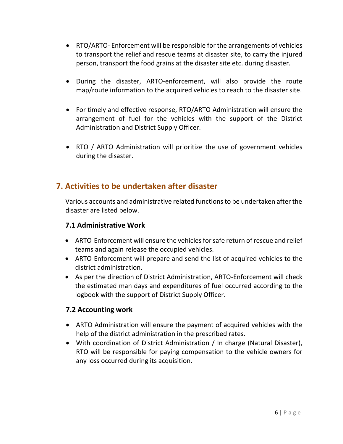- RTO/ARTO- Enforcement will be responsible for the arrangements of vehicles to transport the relief and rescue teams at disaster site, to carry the injured person, transport the food grains at the disaster site etc. during disaster.
- During the disaster, ARTO-enforcement, will also provide the route map/route information to the acquired vehicles to reach to the disaster site.
- For timely and effective response, RTO/ARTO Administration will ensure the arrangement of fuel for the vehicles with the support of the District Administration and District Supply Officer.
- RTO / ARTO Administration will prioritize the use of government vehicles during the disaster.

# **7. Activities to be undertaken after disaster**

Various accounts and administrative related functions to be undertaken after the disaster are listed below.

#### **7.1 Administrative Work**

- ARTO-Enforcement will ensure the vehicles for safe return of rescue and relief teams and again release the occupied vehicles.
- ARTO-Enforcement will prepare and send the list of acquired vehicles to the district administration.
- As per the direction of District Administration, ARTO-Enforcement will check the estimated man days and expenditures of fuel occurred according to the logbook with the support of District Supply Officer.

#### **7.2 Accounting work**

- ARTO Administration will ensure the payment of acquired vehicles with the help of the district administration in the prescribed rates.
- With coordination of District Administration / In charge (Natural Disaster), RTO will be responsible for paying compensation to the vehicle owners for any loss occurred during its acquisition.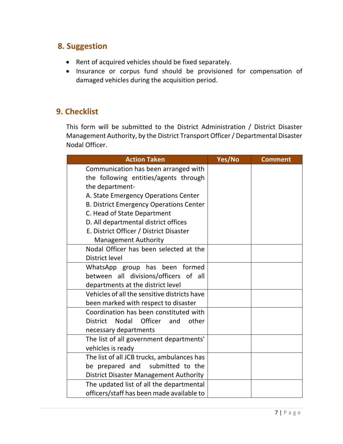# **8. Suggestion**

- Rent of acquired vehicles should be fixed separately.
- Insurance or corpus fund should be provisioned for compensation of damaged vehicles during the acquisition period.

# **9. Checklist**

This form will be submitted to the District Administration / District Disaster Management Authority, by the District Transport Officer / Departmental Disaster Nodal Officer.

| <b>Action Taken</b>                                 | Yes/No | <b>Comment</b> |
|-----------------------------------------------------|--------|----------------|
| Communication has been arranged with                |        |                |
| the following entities/agents through               |        |                |
| the department-                                     |        |                |
| A. State Emergency Operations Center                |        |                |
| <b>B. District Emergency Operations Center</b>      |        |                |
| C. Head of State Department                         |        |                |
| D. All departmental district offices                |        |                |
| E. District Officer / District Disaster             |        |                |
| <b>Management Authority</b>                         |        |                |
| Nodal Officer has been selected at the              |        |                |
| <b>District level</b>                               |        |                |
| WhatsApp group has been formed                      |        |                |
| between all divisions/officers of all               |        |                |
| departments at the district level                   |        |                |
| Vehicles of all the sensitive districts have        |        |                |
| been marked with respect to disaster                |        |                |
| Coordination has been constituted with              |        |                |
| Nodal<br>Officer<br>other<br><b>District</b><br>and |        |                |
| necessary departments                               |        |                |
| The list of all government departments'             |        |                |
| vehicles is ready                                   |        |                |
| The list of all JCB trucks, ambulances has          |        |                |
| be prepared and submitted to the                    |        |                |
| <b>District Disaster Management Authority</b>       |        |                |
| The updated list of all the departmental            |        |                |
| officers/staff has been made available to           |        |                |